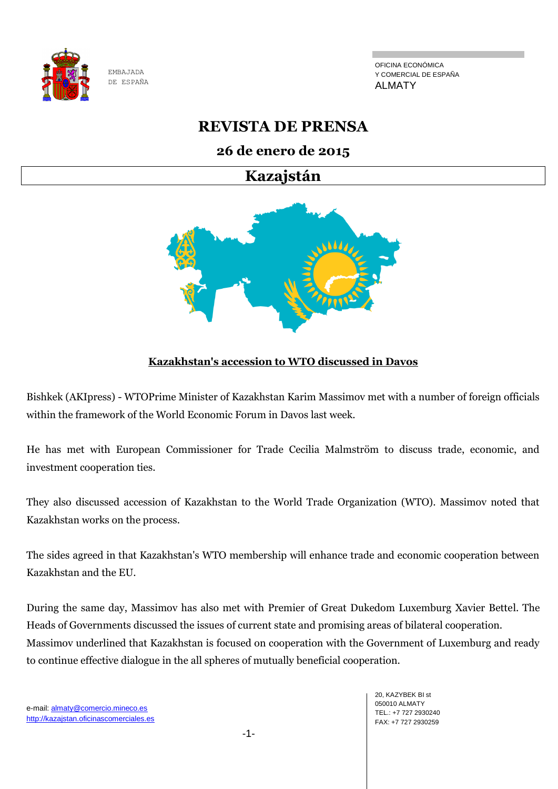

OFICINA ECONÓMICA Y COMERCIAL DE ESPAÑA ALMATY

# **REVISTA DE PRENSA**

# **26 de enero de 2015**

**Kazajstán**



# **Kazakhstan's accession to WTO discussed in Davos**

Bishkek (AKIpress) - WTOPrime Minister of Kazakhstan Karim Massimov met with a number of foreign officials within the framework of the World Economic Forum in Davos last week.

He has met with European Commissioner for Trade Cecilia Malmström to discuss trade, economic, and investment cooperation ties.

They also discussed accession of Kazakhstan to the World Trade Organization (WTO). Massimov noted that Kazakhstan works on the process.

The sides agreed in that Kazakhstan's WTO membership will enhance trade and economic cooperation between Kazakhstan and the EU.

During the same day, Massimov has also met with Premier of Great Dukedom Luxemburg Xavier Bettel. The Heads of Governments discussed the issues of current state and promising areas of bilateral cooperation. Massimov underlined that Kazakhstan is focused on cooperation with the Government of Luxemburg and ready to continue effective dialogue in the all spheres of mutually beneficial cooperation.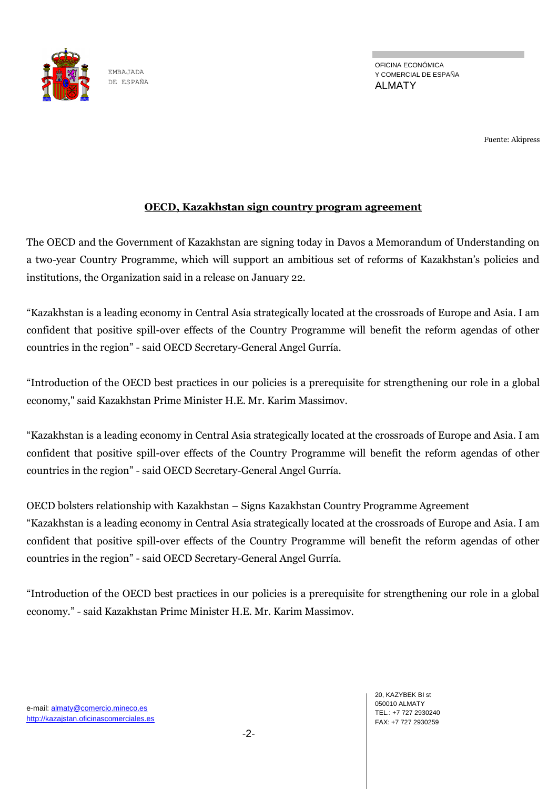

Fuente: Akipress

#### **OECD, Kazakhstan sign country program agreement**

The OECD and the Government of Kazakhstan are signing today in Davos a Memorandum of Understanding on a two-year Country Programme, which will support an ambitious set of reforms of Kazakhstan's policies and institutions, the Organization said in a release on January 22.

―Kazakhstan is a leading economy in Central Asia strategically located at the crossroads of Europe and Asia. I am confident that positive spill-over effects of the Country Programme will benefit the reform agendas of other countries in the region" - said OECD Secretary-General Angel Gurría.

―Introduction of the OECD best practices in our policies is a prerequisite for strengthening our role in a global economy," said Kazakhstan Prime Minister H.E. Mr. Karim Massimov.

―Kazakhstan is a leading economy in Central Asia strategically located at the crossroads of Europe and Asia. I am confident that positive spill-over effects of the Country Programme will benefit the reform agendas of other countries in the region" - said OECD Secretary-General Angel Gurría.

OECD bolsters relationship with Kazakhstan – Signs Kazakhstan Country Programme Agreement ―Kazakhstan is a leading economy in Central Asia strategically located at the crossroads of Europe and Asia. I am confident that positive spill-over effects of the Country Programme will benefit the reform agendas of other countries in the region" - said OECD Secretary-General Angel Gurría.

―Introduction of the OECD best practices in our policies is a prerequisite for strengthening our role in a global economy.‖ - said Kazakhstan Prime Minister H.E. Mr. Karim Massimov.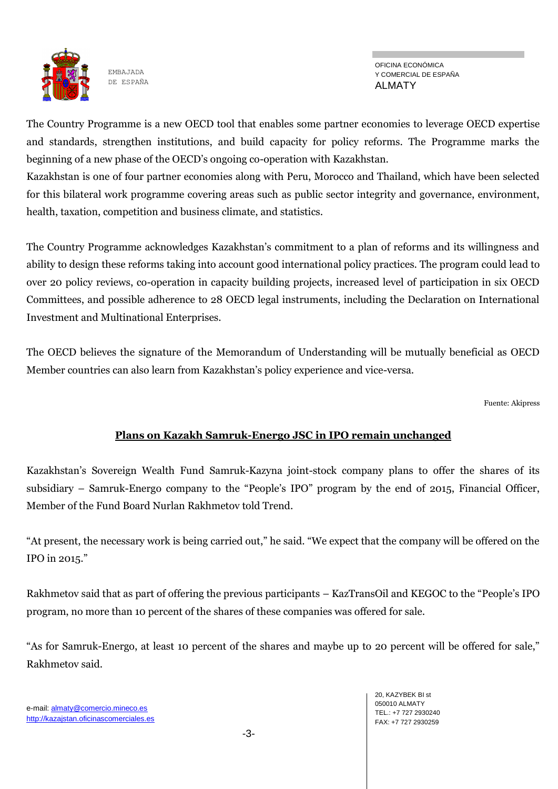

OFICINA ECONÓMICA Y COMERCIAL DE ESPAÑA ALMATY

The Country Programme is a new OECD tool that enables some partner economies to leverage OECD expertise and standards, strengthen institutions, and build capacity for policy reforms. The Programme marks the beginning of a new phase of the OECD's ongoing co-operation with Kazakhstan.

Kazakhstan is one of four partner economies along with Peru, Morocco and Thailand, which have been selected for this bilateral work programme covering areas such as public sector integrity and governance, environment, health, taxation, competition and business climate, and statistics.

The Country Programme acknowledges Kazakhstan's commitment to a plan of reforms and its willingness and ability to design these reforms taking into account good international policy practices. The program could lead to over 20 policy reviews, co-operation in capacity building projects, increased level of participation in six OECD Committees, and possible adherence to 28 OECD legal instruments, including the Declaration on International Investment and Multinational Enterprises.

The OECD believes the signature of the Memorandum of Understanding will be mutually beneficial as OECD Member countries can also learn from Kazakhstan's policy experience and vice-versa.

Fuente: Akipress

# **Plans on Kazakh Samruk-Energo JSC in IPO remain unchanged**

Kazakhstan's Sovereign Wealth Fund Samruk-Kazyna joint-stock company plans to offer the shares of its subsidiary – Samruk-Energo company to the "People's IPO" program by the end of 2015, Financial Officer, Member of the Fund Board Nurlan Rakhmetov told Trend.

"At present, the necessary work is being carried out," he said. "We expect that the company will be offered on the IPO in 2015."

Rakhmetov said that as part of offering the previous participants – KazTransOil and KEGOC to the "People's IPO program, no more than 10 percent of the shares of these companies was offered for sale.

"As for Samruk-Energo, at least 10 percent of the shares and maybe up to 20 percent will be offered for sale," Rakhmetov said.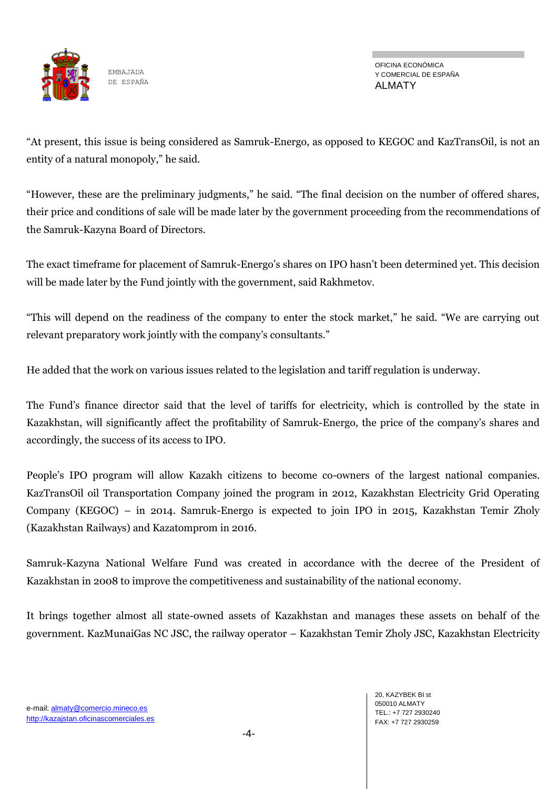

―At present, this issue is being considered as Samruk-Energo, as opposed to KEGOC and KazTransOil, is not an entity of a natural monopoly," he said.

"However, these are the preliminary judgments," he said. "The final decision on the number of offered shares, their price and conditions of sale will be made later by the government proceeding from the recommendations of the Samruk-Kazyna Board of Directors.

The exact timeframe for placement of Samruk-Energo's shares on IPO hasn't been determined yet. This decision will be made later by the Fund jointly with the government, said Rakhmetov.

"This will depend on the readiness of the company to enter the stock market," he said. "We are carrying out relevant preparatory work jointly with the company's consultants."

He added that the work on various issues related to the legislation and tariff regulation is underway.

The Fund's finance director said that the level of tariffs for electricity, which is controlled by the state in Kazakhstan, will significantly affect the profitability of Samruk-Energo, the price of the company's shares and accordingly, the success of its access to IPO.

People's IPO program will allow Kazakh citizens to become co-owners of the largest national companies. KazTransOil oil Transportation Company joined the program in 2012, Kazakhstan Electricity Grid Operating Company (KEGOC) – in 2014. Samruk-Energo is expected to join IPO in 2015, Kazakhstan Temir Zholy (Kazakhstan Railways) and Kazatomprom in 2016.

Samruk-Kazyna National Welfare Fund was created in accordance with the decree of the President of Kazakhstan in 2008 to improve the competitiveness and sustainability of the national economy.

It brings together almost all state-owned assets of Kazakhstan and manages these assets on behalf of the government. KazMunaiGas NC JSC, the railway operator – Kazakhstan Temir Zholy JSC, Kazakhstan Electricity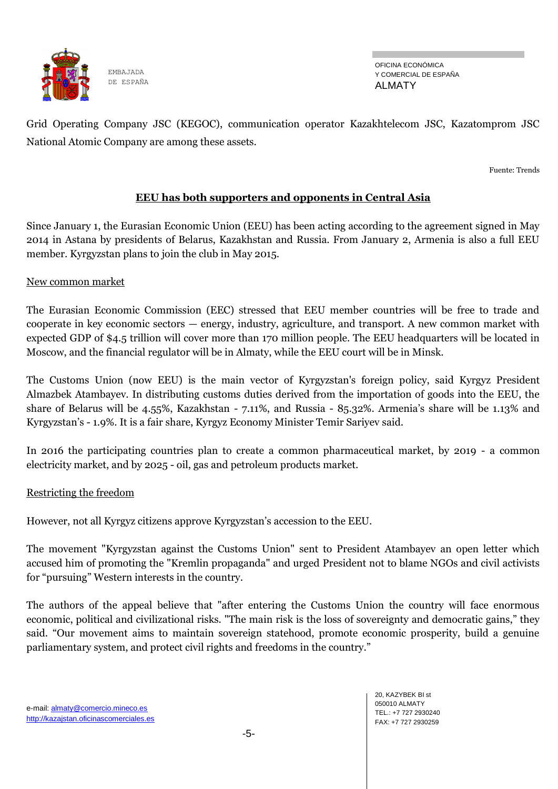

OFICINA ECONÓMICA Y COMERCIAL DE ESPAÑA ALMATY

Grid Operating Company JSC (KEGOC), communication operator Kazakhtelecom JSC, Kazatomprom JSC National Atomic Company are among these assets.

Fuente: Trends

### **EEU has both supporters and opponents in Central Asia**

Since January 1, the Eurasian Economic Union (EEU) has been acting according to the agreement signed in May 2014 in Astana by presidents of Belarus, Kazakhstan and Russia. From January 2, Armenia is also a full EEU member. Kyrgyzstan plans to join the club in May 2015.

#### New common market

The Eurasian Economic Commission (EEC) stressed that EEU member countries will be free to trade and cooperate in key economic sectors — energy, industry, agriculture, and transport. A new common market with expected GDP of \$4.5 trillion will cover more than 170 million people. The EEU headquarters will be located in Moscow, and the financial regulator will be in Almaty, while the EEU court will be in Minsk.

The Customs Union (now EEU) is the main vector of Kyrgyzstan's foreign policy, said Kyrgyz President Almazbek Atambayev. In distributing customs duties derived from the importation of goods into the EEU, the share of Belarus will be 4.55%, Kazakhstan - 7.11%, and Russia - 85.32%. Armenia's share will be 1.13% and Kyrgyzstan's - 1.9%. It is a fair share, Kyrgyz Economy Minister Temir Sariyev said.

In 2016 the participating countries plan to create a common pharmaceutical market, by 2019 - a common electricity market, and by 2025 - oil, gas and petroleum products market.

#### Restricting the freedom

However, not all Kyrgyz citizens approve Kyrgyzstan's accession to the EEU.

The movement "Kyrgyzstan against the Customs Union" sent to President Atambayev an open letter which accused him of promoting the "Kremlin propaganda" and urged President not to blame NGOs and civil activists for "pursuing" Western interests in the country.

The authors of the appeal believe that "after entering the Customs Union the country will face enormous economic, political and civilizational risks. "The main risk is the loss of sovereignty and democratic gains," they said. "Our movement aims to maintain sovereign statehood, promote economic prosperity, build a genuine parliamentary system, and protect civil rights and freedoms in the country."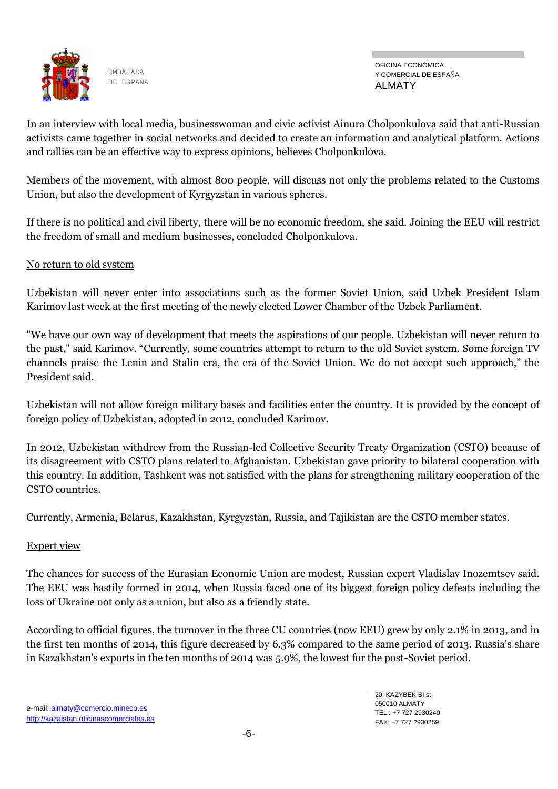

OFICINA ECONÓMICA Y COMERCIAL DE ESPAÑA ALMATY

In an interview with local media, businesswoman and civic activist Ainura Cholponkulova said that anti-Russian activists came together in social networks and decided to create an information and analytical platform. Actions and rallies can be an effective way to express opinions, believes Cholponkulova.

Members of the movement, with almost 800 people, will discuss not only the problems related to the Customs Union, but also the development of Kyrgyzstan in various spheres.

If there is no political and civil liberty, there will be no economic freedom, she said. Joining the EEU will restrict the freedom of small and medium businesses, concluded Cholponkulova.

#### No return to old system

Uzbekistan will never enter into associations such as the former Soviet Union, said Uzbek President Islam Karimov last week at the first meeting of the newly elected Lower Chamber of the Uzbek Parliament.

"We have our own way of development that meets the aspirations of our people. Uzbekistan will never return to the past," said Karimov. "Currently, some countries attempt to return to the old Soviet system. Some foreign TV channels praise the Lenin and Stalin era, the era of the Soviet Union. We do not accept such approach," the President said.

Uzbekistan will not allow foreign military bases and facilities enter the country. It is provided by the concept of foreign policy of Uzbekistan, adopted in 2012, concluded Karimov.

In 2012, Uzbekistan withdrew from the Russian-led Collective Security Treaty Organization (CSTO) because of its disagreement with CSTO plans related to Afghanistan. Uzbekistan gave priority to bilateral cooperation with this country. In addition, Tashkent was not satisfied with the plans for strengthening military cooperation of the CSTO countries.

Currently, Armenia, Belarus, Kazakhstan, Kyrgyzstan, Russia, and Tajikistan are the CSTO member states.

#### Expert view

The chances for success of the Eurasian Economic Union are modest, Russian expert Vladislav Inozemtsev said. The EEU was hastily formed in 2014, when Russia faced one of its biggest foreign policy defeats including the loss of Ukraine not only as a union, but also as a friendly state.

According to official figures, the turnover in the three CU countries (now EEU) grew by only 2.1% in 2013, and in the first ten months of 2014, this figure decreased by 6.3% compared to the same period of 2013. Russia's share in Kazakhstan's exports in the ten months of 2014 was 5.9%, the lowest for the post-Soviet period.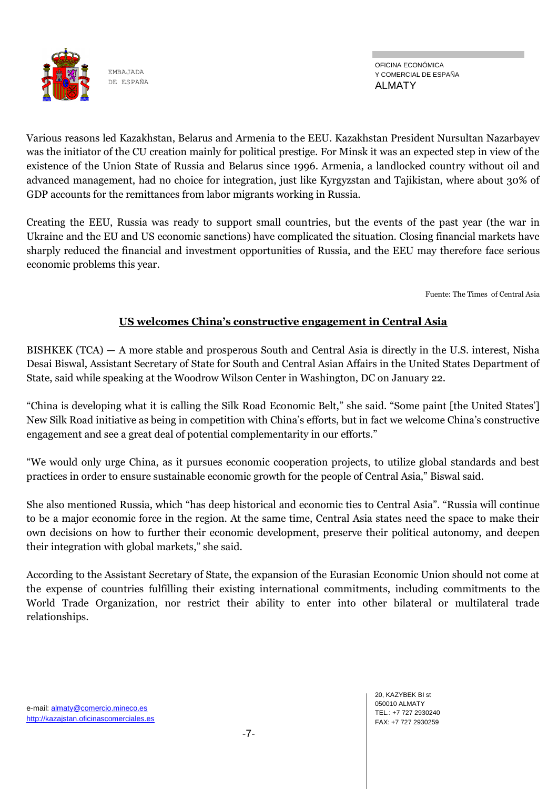

Various reasons led Kazakhstan, Belarus and Armenia to the EEU. Kazakhstan President Nursultan Nazarbayev was the initiator of the CU creation mainly for political prestige. For Minsk it was an expected step in view of the existence of the Union State of Russia and Belarus since 1996. Armenia, a landlocked country without oil and advanced management, had no choice for integration, just like Kyrgyzstan and Tajikistan, where about 30% of GDP accounts for the remittances from labor migrants working in Russia.

Creating the EEU, Russia was ready to support small countries, but the events of the past year (the war in Ukraine and the EU and US economic sanctions) have complicated the situation. Closing financial markets have sharply reduced the financial and investment opportunities of Russia, and the EEU may therefore face serious economic problems this year.

Fuente: The Times of Central Asia

# **US welcomes China's constructive engagement in Central Asia**

BISHKEK (TCA) — A more stable and prosperous South and Central Asia is directly in the U.S. interest, Nisha Desai Biswal, Assistant Secretary of State for South and Central Asian Affairs in the United States Department of State, said while speaking at the Woodrow Wilson Center in Washington, DC on January 22.

"China is developing what it is calling the Silk Road Economic Belt," she said. "Some paint [the United States'] New Silk Road initiative as being in competition with China's efforts, but in fact we welcome China's constructive engagement and see a great deal of potential complementarity in our efforts."

―We would only urge China, as it pursues economic cooperation projects, to utilize global standards and best practices in order to ensure sustainable economic growth for the people of Central Asia," Biswal said.

She also mentioned Russia, which "has deep historical and economic ties to Central Asia". "Russia will continue to be a major economic force in the region. At the same time, Central Asia states need the space to make their own decisions on how to further their economic development, preserve their political autonomy, and deepen their integration with global markets," she said.

According to the Assistant Secretary of State, the expansion of the Eurasian Economic Union should not come at the expense of countries fulfilling their existing international commitments, including commitments to the World Trade Organization, nor restrict their ability to enter into other bilateral or multilateral trade relationships.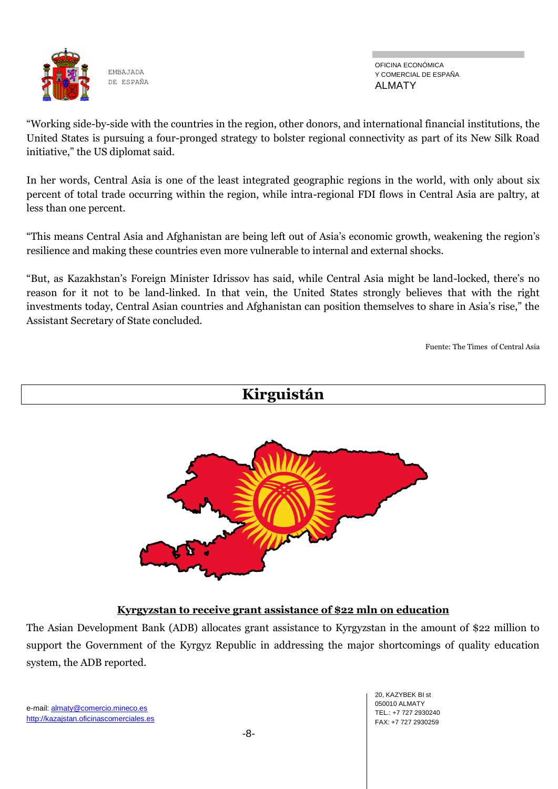

OFICINA ECONÓMICA Y COMERCIAL DE ESPAÑA ALMATY

―Working side-by-side with the countries in the region, other donors, and international financial institutions, the United States is pursuing a four-pronged strategy to bolster regional connectivity as part of its New Silk Road initiative," the US diplomat said.

In her words, Central Asia is one of the least integrated geographic regions in the world, with only about six percent of total trade occurring within the region, while intra-regional FDI flows in Central Asia are paltry, at less than one percent.

―This means Central Asia and Afghanistan are being left out of Asia's economic growth, weakening the region's resilience and making these countries even more vulnerable to internal and external shocks.

―But, as Kazakhstan's Foreign Minister Idrissov has said, while Central Asia might be land-locked, there's no reason for it not to be land-linked. In that vein, the United States strongly believes that with the right investments today, Central Asian countries and Afghanistan can position themselves to share in Asia's rise," the Assistant Secretary of State concluded.

Fuente: The Times of Central Asia



The Asian Development Bank (ADB) allocates grant assistance to Kyrgyzstan in the amount of \$22 million to support the Government of the Kyrgyz Republic in addressing the major shortcomings of quality education system, the ADB reported.

e-mail: almaty@comercio.mineco.es http://kazajstan.oficinascomerciales.es

20, KAZYBEK BI st 050010 ALMATY TEL.: +7 727 2930240 FAX: +7 727 2930259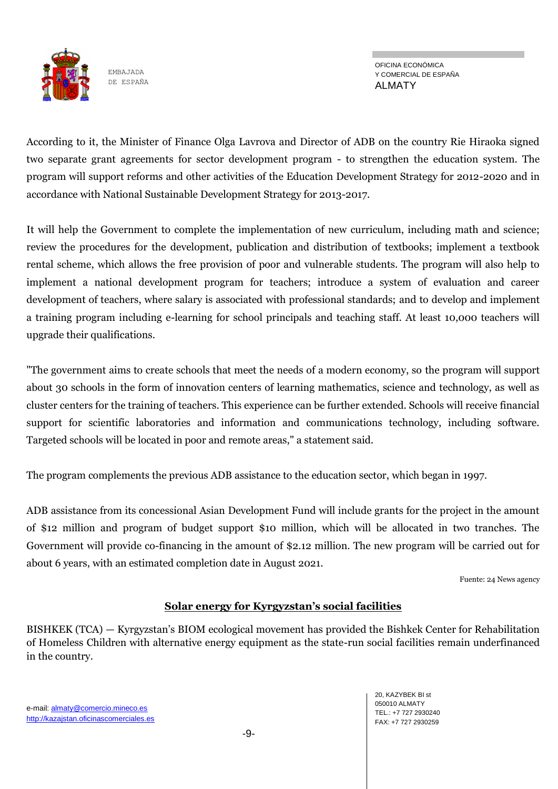

OFICINA ECONÓMICA Y COMERCIAL DE ESPAÑA ALMATY

According to it, the Minister of Finance Olga Lavrova and Director of ADB on the country Rie Hiraoka signed two separate grant agreements for sector development program - to strengthen the education system. The program will support reforms and other activities of the Education Development Strategy for 2012-2020 and in accordance with National Sustainable Development Strategy for 2013-2017.

It will help the Government to complete the implementation of new curriculum, including math and science; review the procedures for the development, publication and distribution of textbooks; implement a textbook rental scheme, which allows the free provision of poor and vulnerable students. The program will also help to implement a national development program for teachers; introduce a system of evaluation and career development of teachers, where salary is associated with professional standards; and to develop and implement a training program including e-learning for school principals and teaching staff. At least 10,000 teachers will upgrade their qualifications.

"The government aims to create schools that meet the needs of a modern economy, so the program will support about 30 schools in the form of innovation centers of learning mathematics, science and technology, as well as cluster centers for the training of teachers. This experience can be further extended. Schools will receive financial support for scientific laboratories and information and communications technology, including software. Targeted schools will be located in poor and remote areas," a statement said.

The program complements the previous ADB assistance to the education sector, which began in 1997.

ADB assistance from its concessional Asian Development Fund will include grants for the project in the amount of \$12 million and program of budget support \$10 million, which will be allocated in two tranches. The Government will provide co-financing in the amount of \$2.12 million. The new program will be carried out for about 6 years, with an estimated completion date in August 2021.

Fuente: 24 News agency

#### **Solar energy for Kyrgyzstan's social facilities**

BISHKEK (TCA) — Kyrgyzstan's BIOM ecological movement has provided the Bishkek Center for Rehabilitation of Homeless Children with alternative energy equipment as the state-run social facilities remain underfinanced in the country.

20, KAZYBEK BI st 050010 ALMATY TEL.: +7 727 2930240 FAX: +7 727 2930259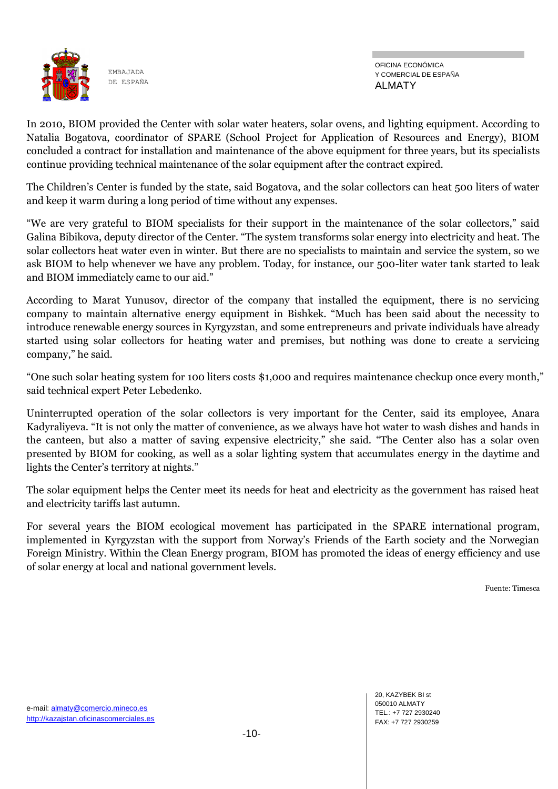

OFICINA ECONÓMICA Y COMERCIAL DE ESPAÑA ALMATY

In 2010, BIOM provided the Center with solar water heaters, solar ovens, and lighting equipment. According to Natalia Bogatova, coordinator of SPARE (School Project for Application of Resources and Energy), BIOM concluded a contract for installation and maintenance of the above equipment for three years, but its specialists continue providing technical maintenance of the solar equipment after the contract expired.

The Children's Center is funded by the state, said Bogatova, and the solar collectors can heat 500 liters of water and keep it warm during a long period of time without any expenses.

"We are very grateful to BIOM specialists for their support in the maintenance of the solar collectors," said Galina Bibikova, deputy director of the Center. "The system transforms solar energy into electricity and heat. The solar collectors heat water even in winter. But there are no specialists to maintain and service the system, so we ask BIOM to help whenever we have any problem. Today, for instance, our 500-liter water tank started to leak and BIOM immediately came to our aid."

According to Marat Yunusov, director of the company that installed the equipment, there is no servicing company to maintain alternative energy equipment in Bishkek. "Much has been said about the necessity to introduce renewable energy sources in Kyrgyzstan, and some entrepreneurs and private individuals have already started using solar collectors for heating water and premises, but nothing was done to create a servicing company," he said.

"One such solar heating system for 100 liters costs \$1,000 and requires maintenance checkup once every month," said technical expert Peter Lebedenko.

Uninterrupted operation of the solar collectors is very important for the Center, said its employee, Anara Kadyraliyeva. "It is not only the matter of convenience, as we always have hot water to wash dishes and hands in the canteen, but also a matter of saving expensive electricity," she said. "The Center also has a solar oven presented by BIOM for cooking, as well as a solar lighting system that accumulates energy in the daytime and lights the Center's territory at nights."

The solar equipment helps the Center meet its needs for heat and electricity as the government has raised heat and electricity tariffs last autumn.

For several years the BIOM ecological movement has participated in the SPARE international program, implemented in Kyrgyzstan with the support from Norway's Friends of the Earth society and the Norwegian Foreign Ministry. Within the Clean Energy program, BIOM has promoted the ideas of energy efficiency and use of solar energy at local and national government levels.

Fuente: Timesca

20, KAZYBEK BI st 050010 ALMATY TEL.: +7 727 2930240 FAX: +7 727 2930259

e-mail: almaty@comercio.mineco.es http://kazajstan.oficinascomerciales.es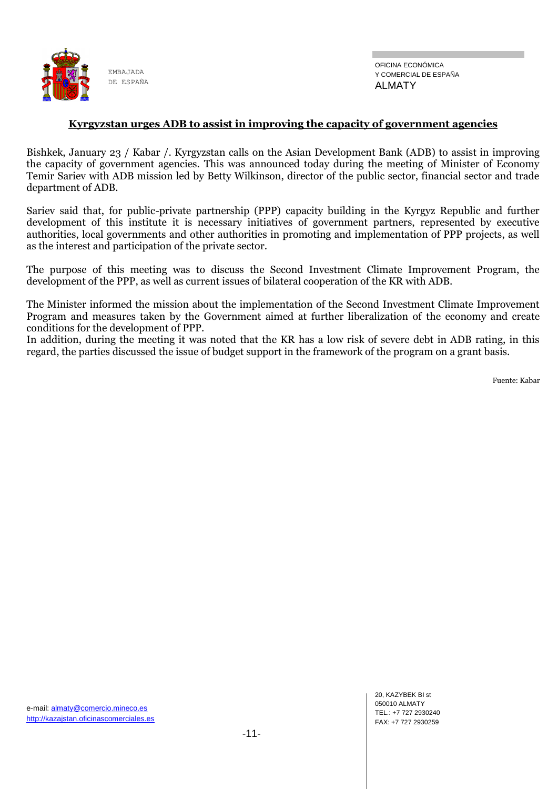

#### **Kyrgyzstan urges ADB to assist in improving the capacity of government agencies**

Bishkek, January 23 / Kabar /. Kyrgyzstan calls on the Asian Development Bank (ADB) to assist in improving the capacity of government agencies. This was announced today during the meeting of Minister of Economy Temir Sariev with ADB mission led by Betty Wilkinson, director of the public sector, financial sector and trade department of ADB.

Sariev said that, for public-private partnership (PPP) capacity building in the Kyrgyz Republic and further development of this institute it is necessary initiatives of government partners, represented by executive authorities, local governments and other authorities in promoting and implementation of PPP projects, as well as the interest and participation of the private sector.

The purpose of this meeting was to discuss the Second Investment Climate Improvement Program, the development of the PPP, as well as current issues of bilateral cooperation of the KR with ADB.

The Minister informed the mission about the implementation of the Second Investment Climate Improvement Program and measures taken by the Government aimed at further liberalization of the economy and create conditions for the development of PPP.

In addition, during the meeting it was noted that the KR has a low risk of severe debt in ADB rating, in this regard, the parties discussed the issue of budget support in the framework of the program on a grant basis.

Fuente: Kabar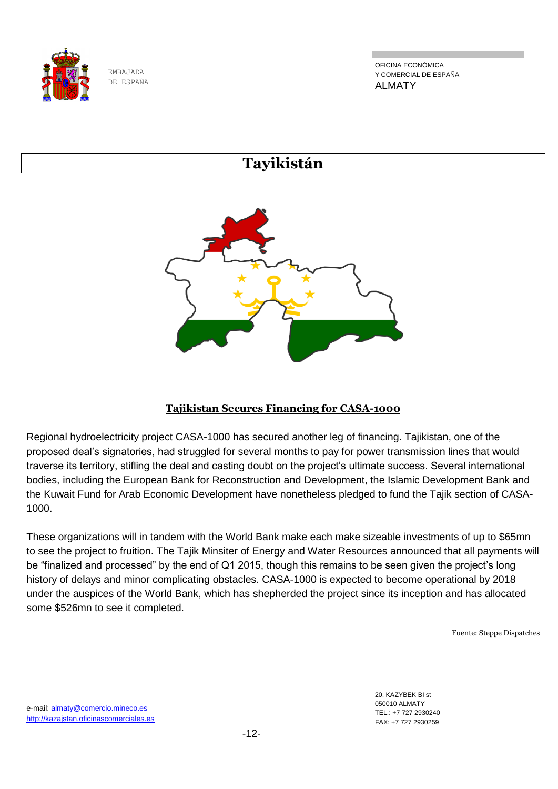

OFICINA ECONÓMICA Y COMERCIAL DE ESPAÑA ALMATY

# **Tayikistán**



# **Tajikistan Secures Financing for CASA-1000**

Regional hydroelectricity project CASA-1000 has secured another leg of financing. Tajikistan, one of the proposed deal's signatories, had struggled for several months to pay for power transmission lines that would traverse its territory, stifling the deal and casting doubt on the project's ultimate success. Several international bodies, including the European Bank for Reconstruction and Development, the Islamic Development Bank and the Kuwait Fund for Arab Economic Development have nonetheless pledged to fund the Tajik section of CASA-1000.

These organizations will in tandem with the World Bank make each make sizeable investments of up to \$65mn to see the project to fruition. The Tajik Minsiter of Energy and Water Resources announced that all payments will be "finalized and processed" by the end of Q1 2015, though this remains to be seen given the project's long history of delays and minor complicating obstacles. CASA-1000 is expected to become operational by 2018 under the auspices of the World Bank, which has shepherded the project since its inception and has allocated some \$526mn to see it completed.

Fuente: Steppe Dispatches

20, KAZYBEK BI st 050010 ALMATY TEL.: +7 727 2930240 FAX: +7 727 2930259

e-mail: almaty@comercio.mineco.es http://kazajstan.oficinascomerciales.es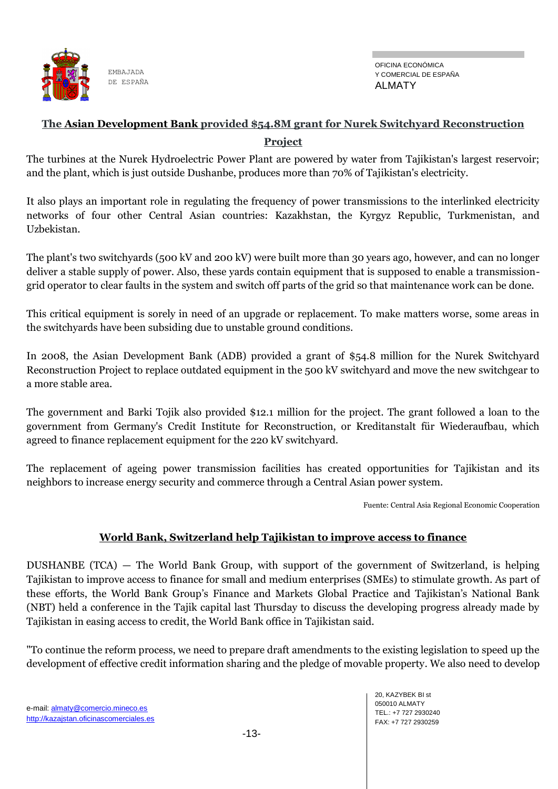

# **The Asian Development Bank provided \$54.8M grant for Nurek Switchyard Reconstruction Project**

The turbines at the Nurek Hydroelectric Power Plant are powered by water from Tajikistan's largest reservoir; and the plant, which is just outside Dushanbe, produces more than 70% of Tajikistan's electricity.

It also plays an important role in regulating the frequency of power transmissions to the interlinked electricity networks of four other Central Asian countries: Kazakhstan, the Kyrgyz Republic, Turkmenistan, and Uzbekistan.

The plant's two switchyards (500 kV and 200 kV) were built more than 30 years ago, however, and can no longer deliver a stable supply of power. Also, these yards contain equipment that is supposed to enable a transmissiongrid operator to clear faults in the system and switch off parts of the grid so that maintenance work can be done.

This critical equipment is sorely in need of an upgrade or replacement. To make matters worse, some areas in the switchyards have been subsiding due to unstable ground conditions.

In 2008, the Asian Development Bank (ADB) provided a grant of \$54.8 million for the Nurek Switchyard Reconstruction Project to replace outdated equipment in the 500 kV switchyard and move the new switchgear to a more stable area.

The government and Barki Tojik also provided \$12.1 million for the project. The grant followed a loan to the government from Germany's Credit Institute for Reconstruction, or Kreditanstalt für Wiederaufbau, which agreed to finance replacement equipment for the 220 kV switchyard.

The replacement of ageing power transmission facilities has created opportunities for Tajikistan and its neighbors to increase energy security and commerce through a Central Asian power system.

Fuente: Central Asia Regional Economic Cooperation

#### **World Bank, Switzerland help Tajikistan to improve access to finance**

DUSHANBE (TCA) — The World Bank Group, with support of the government of Switzerland, is helping Tajikistan to improve access to finance for small and medium enterprises (SMEs) to stimulate growth. As part of these efforts, the World Bank Group's Finance and Markets Global Practice and Tajikistan's National Bank (NBT) held a conference in the Tajik capital last Thursday to discuss the developing progress already made by Tajikistan in easing access to credit, the World Bank office in Tajikistan said.

"To continue the reform process, we need to prepare draft amendments to the existing legislation to speed up the development of effective credit information sharing and the pledge of movable property. We also need to develop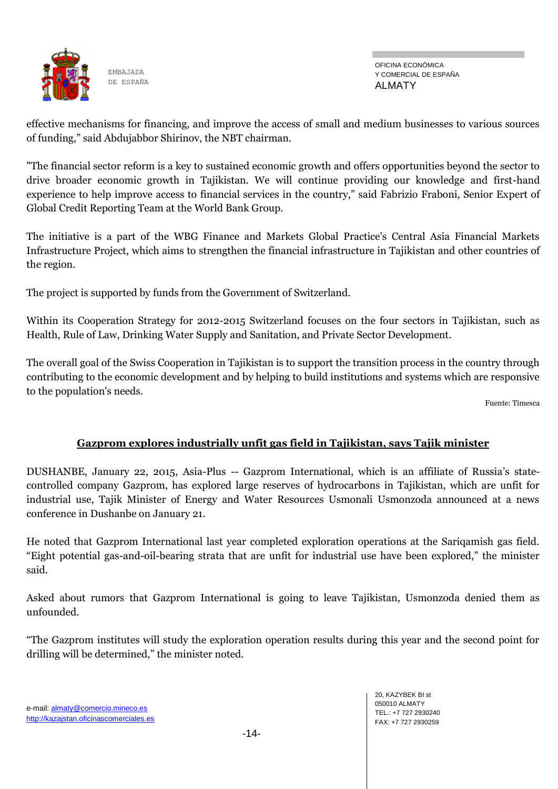

OFICINA ECONÓMICA Y COMERCIAL DE ESPAÑA ALMATY

effective mechanisms for financing, and improve the access of small and medium businesses to various sources of funding," said Abdujabbor Shirinov, the NBT chairman.

"The financial sector reform is a key to sustained economic growth and offers opportunities beyond the sector to drive broader economic growth in Tajikistan. We will continue providing our knowledge and first-hand experience to help improve access to financial services in the country," said Fabrizio Fraboni, Senior Expert of Global Credit Reporting Team at the World Bank Group.

The initiative is a part of the WBG Finance and Markets Global Practice's Central Asia Financial Markets Infrastructure Project, which aims to strengthen the financial infrastructure in Tajikistan and other countries of the region.

The project is supported by funds from the Government of Switzerland.

Within its Cooperation Strategy for 2012-2015 Switzerland focuses on the four sectors in Tajikistan, such as Health, Rule of Law, Drinking Water Supply and Sanitation, and Private Sector Development.

The overall goal of the Swiss Cooperation in Tajikistan is to support the transition process in the country through contributing to the economic development and by helping to build institutions and systems which are responsive to the population's needs.

Fuente: Timesca

# **Gazprom explores industrially unfit gas field in Tajikistan, says Tajik minister**

DUSHANBE, January 22, 2015, Asia-Plus -- Gazprom International, which is an affiliate of Russia's statecontrolled company Gazprom, has explored large reserves of hydrocarbons in Tajikistan, which are unfit for industrial use, Tajik Minister of Energy and Water Resources Usmonali Usmonzoda announced at a news conference in Dushanbe on January 21.

He noted that Gazprom International last year completed exploration operations at the Sariqamish gas field. "Eight potential gas-and-oil-bearing strata that are unfit for industrial use have been explored," the minister said.

Asked about rumors that Gazprom International is going to leave Tajikistan, Usmonzoda denied them as unfounded.

―The Gazprom institutes will study the exploration operation results during this year and the second point for drilling will be determined," the minister noted.